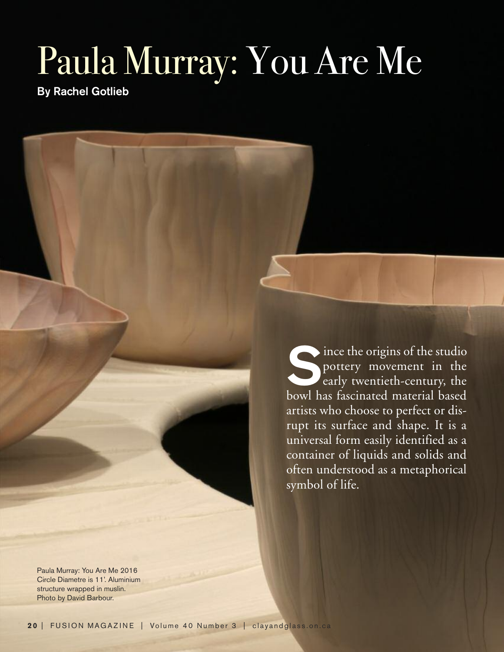## Paula Murray: You Are Me

**By Rachel Gotlieb**

Since the origins of the studio<br>pottery movement in the<br>early twentieth-century, the pottery movement in the early twentieth-century, the bowl has fascinated material based artists who choose to perfect or disrupt its surface and shape. It is a universal form easily identified as a container of liquids and solids and often understood as a metaphorical symbol of life.

Paula Murray: You Are Me 2016 Circle Diametre is 11'. Aluminium structure wrapped in muslin. Photo by David Barbour.

**20** | FUSION MAGAZINE | Volume 40 Number 3 | clayandglass.on.ca